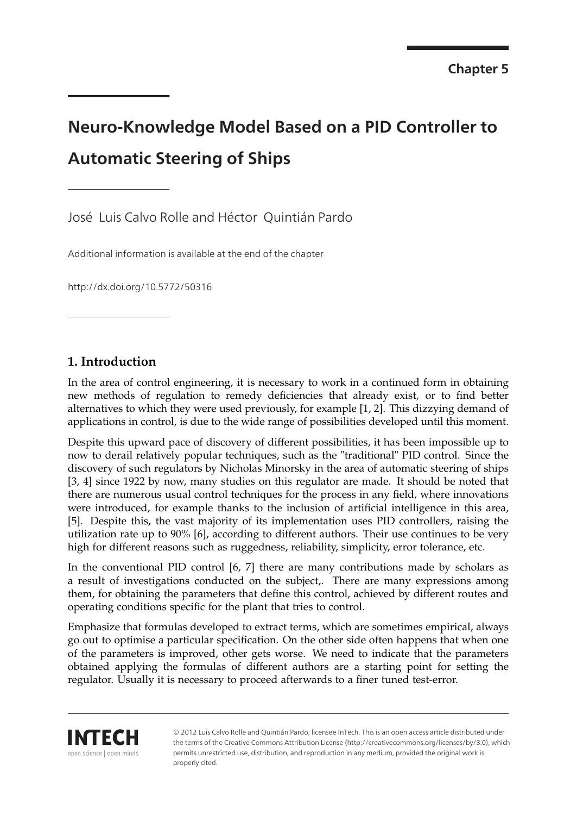**Provisional chapter**

# $\bm{\mathsf{Neuro-Knowledge\; Model\;Based\; on a PID\;Controller\; to\;}}$ **Automatic Steering of Ships**

José Luis Calvo Rolle and Héctor Quintián Pardo

**Neuro-Knowledge Model Based**

Additional information is available at the end of the chapter

José Luis Calvo Rolle and Héctor Quintián Pardo Rolle and Héctor Quintián Pardo Rolle and Héctor Quintián Par<br>Luis Calvo Rolle and Héctor Quintián Participan Participan Participan Participan Participan Participan Partici

http://dx.doi.org/10.5772/50316

# **1. Introduction**

In the area of control engineering, it is necessary to work in a continued form in obtaining new methods of regulation to remedy deficiencies that already exist, or to find better alternatives to which they were used previously, for example [1, 2]. This dizzying demand of applications in control, is due to the wide range of possibilities developed until this moment.

Despite this upward pace of discovery of different possibilities, it has been impossible up to now to derail relatively popular techniques, such as the "traditional" PID control. Since the discovery of such regulators by Nicholas Minorsky in the area of automatic steering of ships [3, 4] since 1922 by now, many studies on this regulator are made. It should be noted that there are numerous usual control techniques for the process in any field, where innovations were introduced, for example thanks to the inclusion of artificial intelligence in this area, [5]. Despite this, the vast majority of its implementation uses PID controllers, raising the utilization rate up to 90% [6], according to different authors. Their use continues to be very high for different reasons such as ruggedness, reliability, simplicity, error tolerance, etc.

In the conventional PID control [6, 7] there are many contributions made by scholars as a result of investigations conducted on the subject,. There are many expressions among them, for obtaining the parameters that define this control, achieved by different routes and operating conditions specific for the plant that tries to control.

Emphasize that formulas developed to extract terms, which are sometimes empirical, always go out to optimise a particular specification. On the other side often happens that when one of the parameters is improved, other gets worse. We need to indicate that the parameters obtained applying the formulas of different authors are a starting point for setting the regulator. Usually it is necessary to proceed afterwards to a finer tuned test-error.



© 2012 Luis Calvo Rolle and Quintián Pardo; licensee InTech. This is an open access article distributed under the terms of the Creative Commons Attribution License (http://creativecommons.org/licenses/by/3.0), which permits unrestricted use, distribution, and reproduction in any medium, provided the original work is properly cited.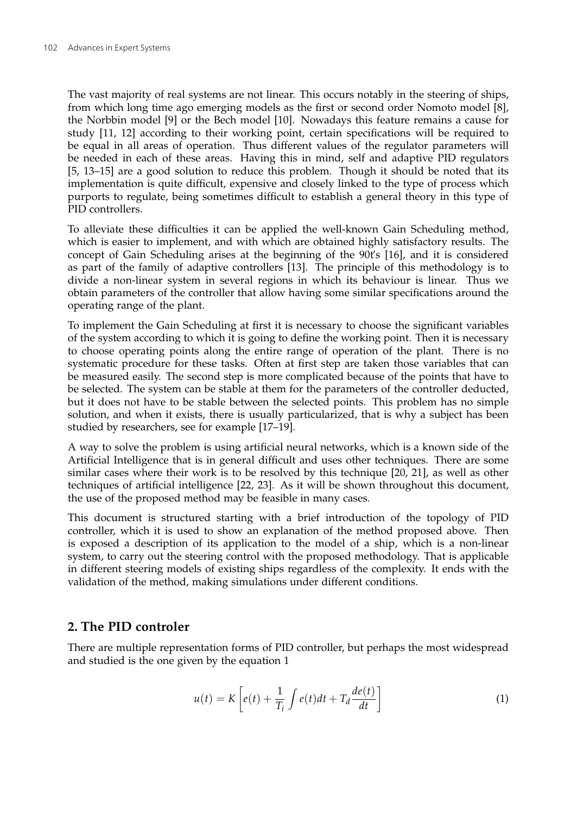The vast majority of real systems are not linear. This occurs notably in the steering of ships, from which long time ago emerging models as the first or second order Nomoto model [8], the Norbbin model [9] or the Bech model [10]. Nowadays this feature remains a cause for study [11, 12] according to their working point, certain specifications will be required to be equal in all areas of operation. Thus different values of the regulator parameters will be needed in each of these areas. Having this in mind, self and adaptive PID regulators [5, 13–15] are a good solution to reduce this problem. Though it should be noted that its implementation is quite difficult, expensive and closely linked to the type of process which purports to regulate, being sometimes difficult to establish a general theory in this type of PID controllers.

To alleviate these difficulties it can be applied the well-known Gain Scheduling method, which is easier to implement, and with which are obtained highly satisfactory results. The concept of Gain Scheduling arises at the beginning of the 90t's [16], and it is considered as part of the family of adaptive controllers [13]. The principle of this methodology is to divide a non-linear system in several regions in which its behaviour is linear. Thus we obtain parameters of the controller that allow having some similar specifications around the operating range of the plant.

To implement the Gain Scheduling at first it is necessary to choose the significant variables of the system according to which it is going to define the working point. Then it is necessary to choose operating points along the entire range of operation of the plant. There is no systematic procedure for these tasks. Often at first step are taken those variables that can be measured easily. The second step is more complicated because of the points that have to be selected. The system can be stable at them for the parameters of the controller deducted, but it does not have to be stable between the selected points. This problem has no simple solution, and when it exists, there is usually particularized, that is why a subject has been studied by researchers, see for example [17–19].

A way to solve the problem is using artificial neural networks, which is a known side of the Artificial Intelligence that is in general difficult and uses other techniques. There are some similar cases where their work is to be resolved by this technique [20, 21], as well as other techniques of artificial intelligence [22, 23]. As it will be shown throughout this document, the use of the proposed method may be feasible in many cases.

This document is structured starting with a brief introduction of the topology of PID controller, which it is used to show an explanation of the method proposed above. Then is exposed a description of its application to the model of a ship, which is a non-linear system, to carry out the steering control with the proposed methodology. That is applicable in different steering models of existing ships regardless of the complexity. It ends with the validation of the method, making simulations under different conditions.

## **2. The PID controler**

There are multiple representation forms of PID controller, but perhaps the most widespread and studied is the one given by the equation 1

$$
u(t) = K \left[ e(t) + \frac{1}{T_i} \int e(t)dt + T_d \frac{de(t)}{dt} \right]
$$
 (1)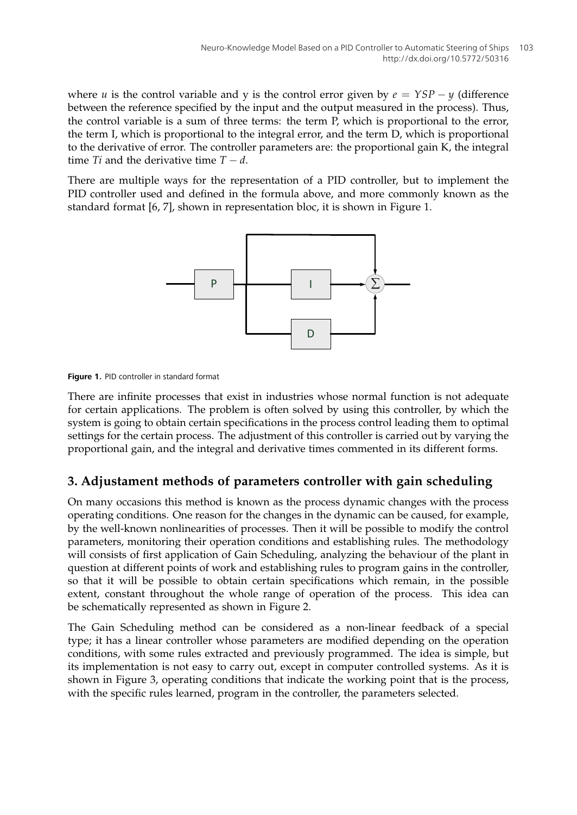where *u* is the control variable and y is the control error given by  $e = YSP - \gamma$  (difference between the reference specified by the input and the output measured in the process). Thus, the control variable is a sum of three terms: the term P, which is proportional to the error, the term I, which is proportional to the integral error, and the term D, which is proportional to the derivative of error. The controller parameters are: the proportional gain K, the integral time *Ti* and the derivative time  $T - d$ .

There are multiple ways for the representation of a PID controller, but to implement the PID controller used and defined in the formula above, and more commonly known as the standard format [6, 7], shown in representation bloc, it is shown in Figure 1.



**Figure 1.** PID controller in standard format

There are infinite processes that exist in industries whose normal function is not adequate for certain applications. The problem is often solved by using this controller, by which the system is going to obtain certain specifications in the process control leading them to optimal settings for the certain process. The adjustment of this controller is carried out by varying the proportional gain, and the integral and derivative times commented in its different forms.

# **3. Adjustament methods of parameters controller with gain scheduling**

On many occasions this method is known as the process dynamic changes with the process operating conditions. One reason for the changes in the dynamic can be caused, for example, by the well-known nonlinearities of processes. Then it will be possible to modify the control parameters, monitoring their operation conditions and establishing rules. The methodology will consists of first application of Gain Scheduling, analyzing the behaviour of the plant in question at different points of work and establishing rules to program gains in the controller, so that it will be possible to obtain certain specifications which remain, in the possible extent, constant throughout the whole range of operation of the process. This idea can be schematically represented as shown in Figure 2.

The Gain Scheduling method can be considered as a non-linear feedback of a special type; it has a linear controller whose parameters are modified depending on the operation conditions, with some rules extracted and previously programmed. The idea is simple, but its implementation is not easy to carry out, except in computer controlled systems. As it is shown in Figure 3, operating conditions that indicate the working point that is the process, with the specific rules learned, program in the controller, the parameters selected.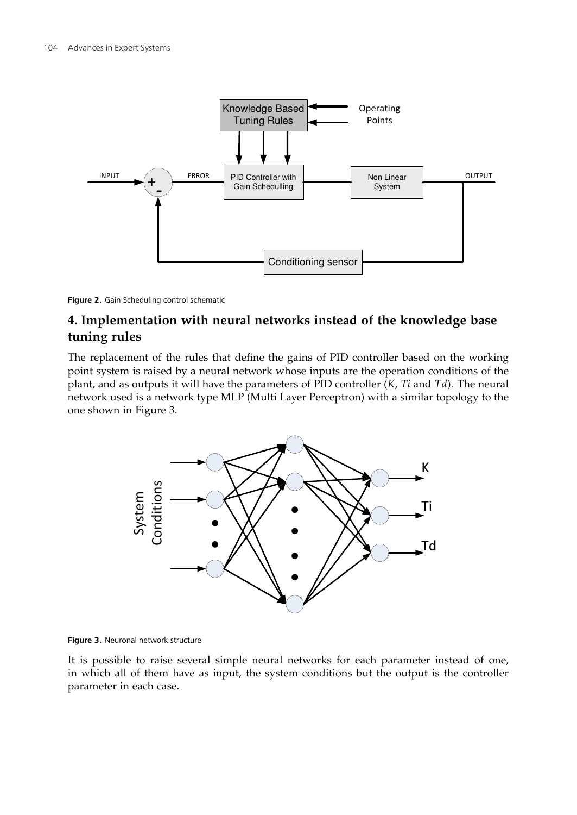

**Figure 2.** Gain Scheduling control schematic

# **4. Implementation with neural networks instead of the knowledge base tuning rules**

The replacement of the rules that define the gains of PID controller based on the working point system is raised by a neural network whose inputs are the operation conditions of the plant, and as outputs it will have the parameters of PID controller (*K*, *Ti* and *Td*). The neural network used is a network type MLP (Multi Layer Perceptron) with a similar topology to the one shown in Figure 3.



**Figure 3.** Neuronal network structure

It is possible to raise several simple neural networks for each parameter instead of one, in which all of them have as input, the system conditions but the output is the controller parameter in each case.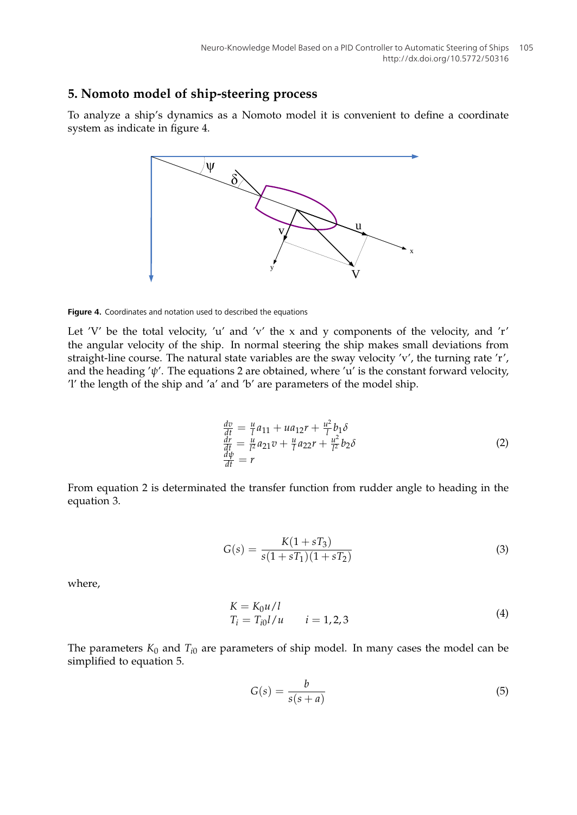## **5. Nomoto model of ship-steering process**

To analyze a ship's dynamics as a Nomoto model it is convenient to define a coordinate system as indicate in figure 4.



Figure 4. Coordinates and notation used to described the equations

Let 'V' be the total velocity, 'u' and 'v' the x and y components of the velocity, and 'r' the angular velocity of the ship. In normal steering the ship makes small deviations from straight-line course. The natural state variables are the sway velocity 'v', the turning rate 'r', and the heading '*ψ*'. The equations 2 are obtained, where 'u' is the constant forward velocity, 'l' the length of the ship and 'a' and 'b' are parameters of the model ship.

$$
\begin{array}{l}\n\frac{dv}{dt} = \frac{u}{l}a_{11} + ua_{12}r + \frac{u^2}{l}b_1\delta\\ \n\frac{dr}{dt} = \frac{u}{l^2}a_{21}v + \frac{u}{l}a_{22}r + \frac{u^2}{l^2}b_2\delta\\ \n\frac{dv}{dt} = r\n\end{array} \tag{2}
$$

From equation 2 is determinated the transfer function from rudder angle to heading in the equation 3.

$$
G(s) = \frac{K(1 + sT_3)}{s(1 + sT_1)(1 + sT_2)}
$$
\n(3)

where,

$$
K = K_0 u / l \nT_i = T_{i0}l / u \qquad i = 1, 2, 3
$$
\n(4)

The parameters  $K_0$  and  $T_{i0}$  are parameters of ship model. In many cases the model can be simplified to equation 5.

$$
G(s) = \frac{b}{s(s+a)}\tag{5}
$$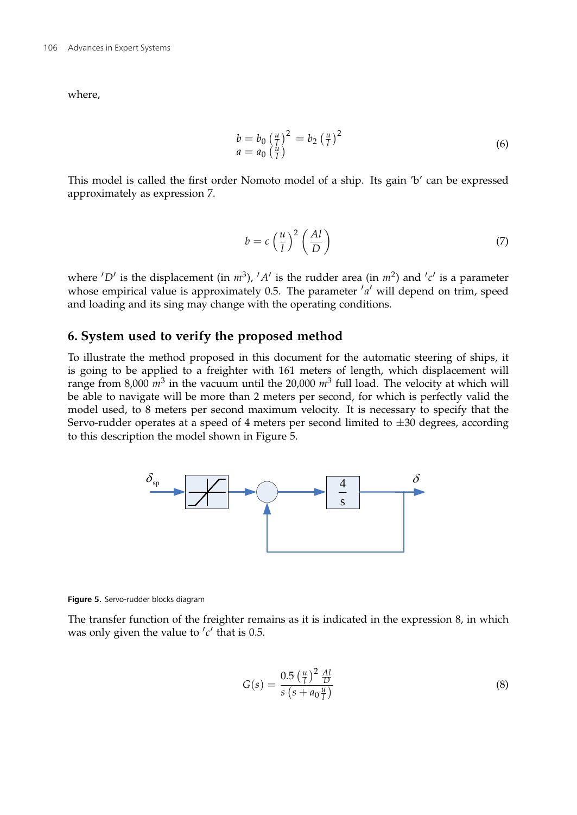where,

$$
\begin{array}{l}\nb = b_0 \left(\frac{u}{l}\right)^2 = b_2 \left(\frac{u}{l}\right)^2 \\
a = a_0 \left(\frac{u}{l}\right)\n\end{array} \tag{6}
$$

This model is called the first order Nomoto model of a ship. Its gain 'b' can be expressed approximately as expression 7.

$$
b = c \left(\frac{u}{l}\right)^2 \left(\frac{Al}{D}\right) \tag{7}
$$

where  $'D'$  is the displacement (in  $m^3$ ),  $'A'$  is the rudder area (in  $m^2$ ) and  $'c'$  is a parameter whose empirical value is approximately 0.5. The parameter 'a' will depend on trim, speed and loading and its sing may change with the operating conditions.

#### **6. System used to verify the proposed method**

To illustrate the method proposed in this document for the automatic steering of ships, it is going to be applied to a freighter with 161 meters of length, which displacement will range from 8,000  $m^3$  in the vacuum until the 20,000  $m^3$  full load. The velocity at which will be able to navigate will be more than 2 meters per second, for which is perfectly valid the model used, to 8 meters per second maximum velocity. It is necessary to specify that the Servo-rudder operates at a speed of 4 meters per second limited to  $\pm 30$  degrees, according to this description the model shown in Figure 5.



**Figure 5.** Servo-rudder blocks diagram

The transfer function of the freighter remains as it is indicated in the expression 8, in which was only given the value to  $'c'$  that is 0.5.

$$
G(s) = \frac{0.5 \left(\frac{u}{l}\right)^2 \frac{Al}{D}}{s \left(s + a_0 \frac{u}{l}\right)}
$$
(8)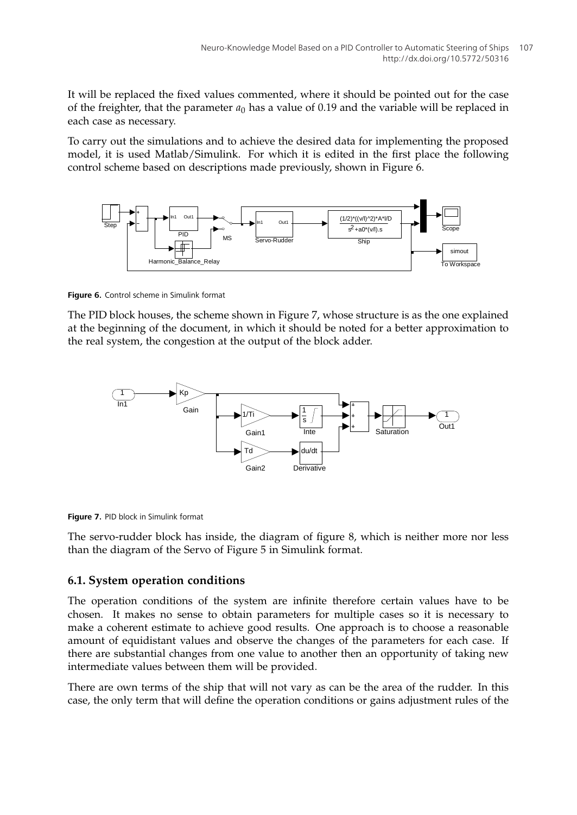It will be replaced the fixed values commented, where it should be pointed out for the case of the freighter, that the parameter  $a_0$  has a value of 0.19 and the variable will be replaced in each case as necessary.

To carry out the simulations and to achieve the desired data for implementing the proposed model, it is used Matlab/Simulink. For which it is edited in the first place the following control scheme based on descriptions made previously, shown in Figure 6.



**Figure 6.** Control scheme in Simulink format

The PID block houses, the scheme shown in Figure 7, whose structure is as the one explained at the beginning of the document, in which it should be noted for a better approximation to the real system, the congestion at the output of the block adder.



**Figure 7.** PID block in Simulink format

The servo-rudder block has inside, the diagram of figure 8, which is neither more nor less than the diagram of the Servo of Figure 5 in Simulink format.

#### **6.1. System operation conditions**

The operation conditions of the system are infinite therefore certain values have to be chosen. It makes no sense to obtain parameters for multiple cases so it is necessary to make a coherent estimate to achieve good results. One approach is to choose a reasonable amount of equidistant values and observe the changes of the parameters for each case. If there are substantial changes from one value to another then an opportunity of taking new intermediate values between them will be provided.

There are own terms of the ship that will not vary as can be the area of the rudder. In this case, the only term that will define the operation conditions or gains adjustment rules of the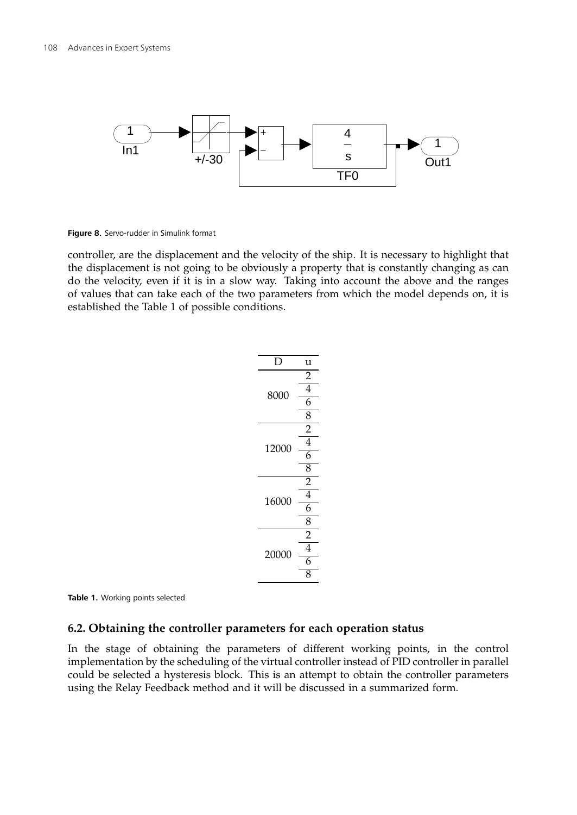

**Figure 8.** Servo-rudder in Simulink format

controller, are the displacement and the velocity of the ship. It is necessary to highlight that the displacement is not going to be obviously a property that is constantly changing as can do the velocity, even if it is in a slow way. Taking into account the above and the ranges of values that can take each of the two parameters from which the model depends on, it is established the Table 1 of possible conditions.

|       | u                        |  |
|-------|--------------------------|--|
|       | $\overline{\mathcal{L}}$ |  |
| 8000  | $\overline{4}$           |  |
|       | $\overline{6}$           |  |
|       | $\overline{8}$           |  |
| 12000 | $\overline{\mathcal{L}}$ |  |
|       | $\overline{4}$           |  |
|       | $\overline{6}$           |  |
|       | $\overline{8}$           |  |
| 16000 | $\overline{2}$           |  |
|       | $\overline{4}$           |  |
|       | $\overline{6}$           |  |
|       | $\overline{8}$           |  |
| 20000 | 2                        |  |
|       | 4                        |  |
|       | $\overline{6}$           |  |
|       | 8                        |  |

**Table 1.** Working points selected

#### **6.2. Obtaining the controller parameters for each operation status**

In the stage of obtaining the parameters of different working points, in the control implementation by the scheduling of the virtual controller instead of PID controller in parallel could be selected a hysteresis block. This is an attempt to obtain the controller parameters using the Relay Feedback method and it will be discussed in a summarized form.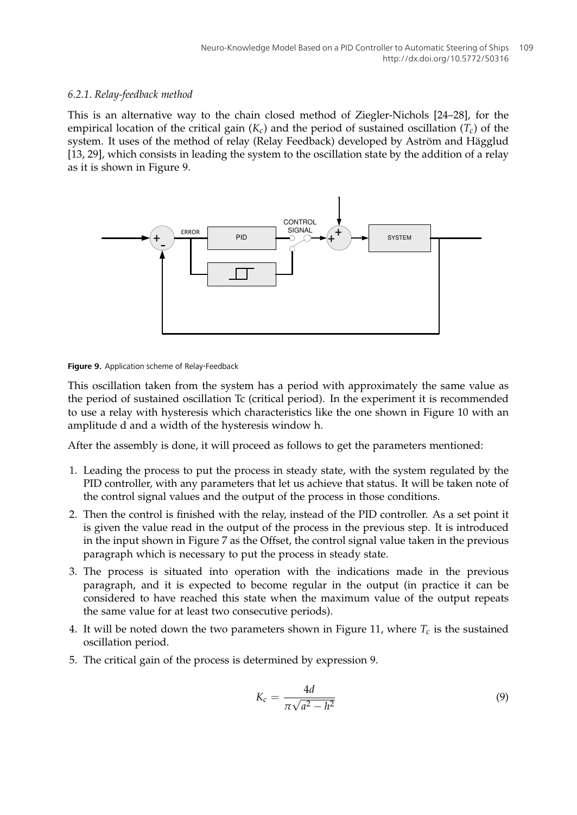#### *6.2.1. Relay-feedback method*

This is an alternative way to the chain closed method of Ziegler-Nichols [24–28], for the empirical location of the critical gain  $(K_c)$  and the period of sustained oscillation  $(T_c)$  of the system. It uses of the method of relay (Relay Feedback) developed by Aström and Hägglud [13, 29], which consists in leading the system to the oscillation state by the addition of a relay as it is shown in Figure 9.





This oscillation taken from the system has a period with approximately the same value as the period of sustained oscillation Tc (critical period). In the experiment it is recommended to use a relay with hysteresis which characteristics like the one shown in Figure 10 with an amplitude d and a width of the hysteresis window h.

After the assembly is done, it will proceed as follows to get the parameters mentioned:

- 1. Leading the process to put the process in steady state, with the system regulated by the PID controller, with any parameters that let us achieve that status. It will be taken note of the control signal values and the output of the process in those conditions.
- 2. Then the control is finished with the relay, instead of the PID controller. As a set point it is given the value read in the output of the process in the previous step. It is introduced in the input shown in Figure 7 as the Offset, the control signal value taken in the previous paragraph which is necessary to put the process in steady state.
- 3. The process is situated into operation with the indications made in the previous paragraph, and it is expected to become regular in the output (in practice it can be considered to have reached this state when the maximum value of the output repeats the same value for at least two consecutive periods).
- 4. It will be noted down the two parameters shown in Figure 11, where  $T_c$  is the sustained oscillation period.
- 5. The critical gain of the process is determined by expression 9.

$$
K_c = \frac{4d}{\pi\sqrt{a^2 - h^2}}\tag{9}
$$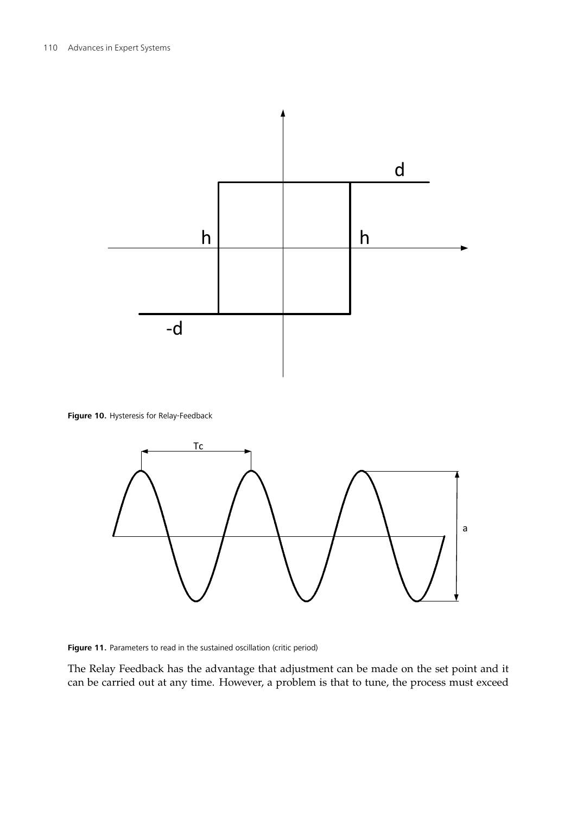

**Figure 10.** Hysteresis for Relay-Feedback



Figure 11. Parameters to read in the sustained oscillation (critic period)

The Relay Feedback has the advantage that adjustment can be made on the set point and it can be carried out at any time. However, a problem is that to tune, the process must exceed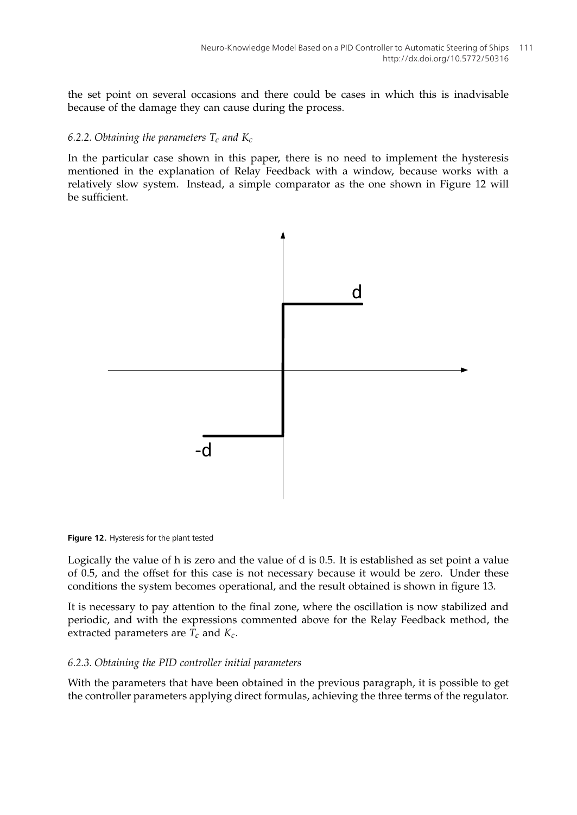the set point on several occasions and there could be cases in which this is inadvisable because of the damage they can cause during the process.

#### *6.2.2. Obtaining the parameters Tc and Kc*

In the particular case shown in this paper, there is no need to implement the hysteresis mentioned in the explanation of Relay Feedback with a window, because works with a relatively slow system. Instead, a simple comparator as the one shown in Figure 12 will be sufficient.



**Figure 12.** Hysteresis for the plant tested

Logically the value of h is zero and the value of d is 0.5. It is established as set point a value of 0.5, and the offset for this case is not necessary because it would be zero. Under these conditions the system becomes operational, and the result obtained is shown in figure 13.

It is necessary to pay attention to the final zone, where the oscillation is now stabilized and periodic, and with the expressions commented above for the Relay Feedback method, the extracted parameters are *Tc* and *Kc*.

#### *6.2.3. Obtaining the PID controller initial parameters*

With the parameters that have been obtained in the previous paragraph, it is possible to get the controller parameters applying direct formulas, achieving the three terms of the regulator.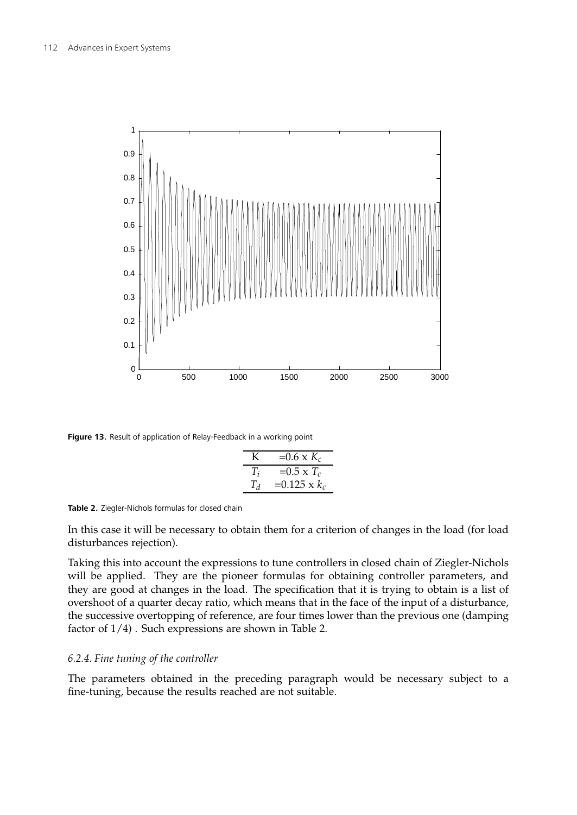

**Figure 13.** Result of application of Relay-Feedback in a working point

| K     | $=0.6 \times K_c$   |
|-------|---------------------|
| $T_i$ | $=0.5 \times T_c$   |
| $T_d$ | $=0.125 \times k_c$ |

**Table 2.** Ziegler-Nichols formulas for closed chain

In this case it will be necessary to obtain them for a criterion of changes in the load (for load disturbances rejection).

Taking this into account the expressions to tune controllers in closed chain of Ziegler-Nichols will be applied. They are the pioneer formulas for obtaining controller parameters, and they are good at changes in the load. The specification that it is trying to obtain is a list of overshoot of a quarter decay ratio, which means that in the face of the input of a disturbance, the successive overtopping of reference, are four times lower than the previous one (damping factor of 1/4) . Such expressions are shown in Table 2.

#### *6.2.4. Fine tuning of the controller*

The parameters obtained in the preceding paragraph would be necessary subject to a fine-tuning, because the results reached are not suitable.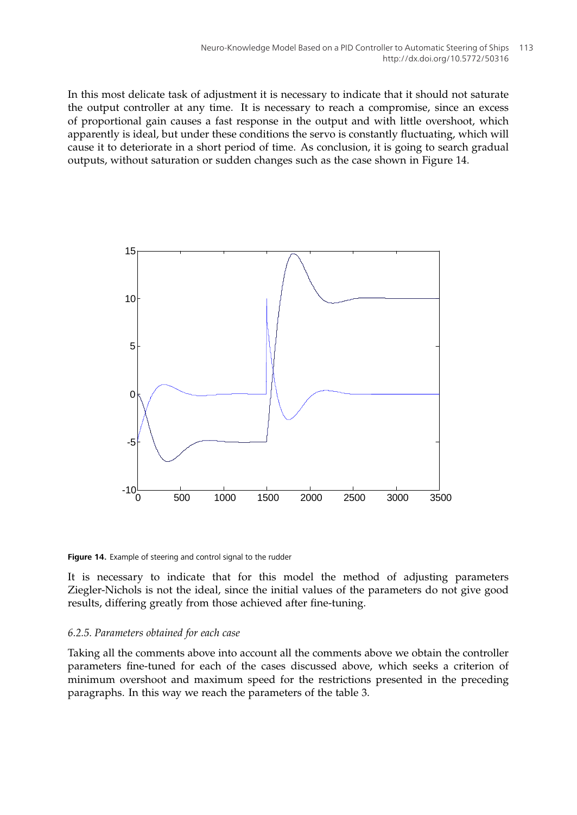In this most delicate task of adjustment it is necessary to indicate that it should not saturate the output controller at any time. It is necessary to reach a compromise, since an excess of proportional gain causes a fast response in the output and with little overshoot, which apparently is ideal, but under these conditions the servo is constantly fluctuating, which will cause it to deteriorate in a short period of time. As conclusion, it is going to search gradual outputs, without saturation or sudden changes such as the case shown in Figure 14.



**Figure 14.** Example of steering and control signal to the rudder

It is necessary to indicate that for this model the method of adjusting parameters Ziegler-Nichols is not the ideal, since the initial values of the parameters do not give good results, differing greatly from those achieved after fine-tuning.

#### *6.2.5. Parameters obtained for each case*

Taking all the comments above into account all the comments above we obtain the controller parameters fine-tuned for each of the cases discussed above, which seeks a criterion of minimum overshoot and maximum speed for the restrictions presented in the preceding paragraphs. In this way we reach the parameters of the table 3.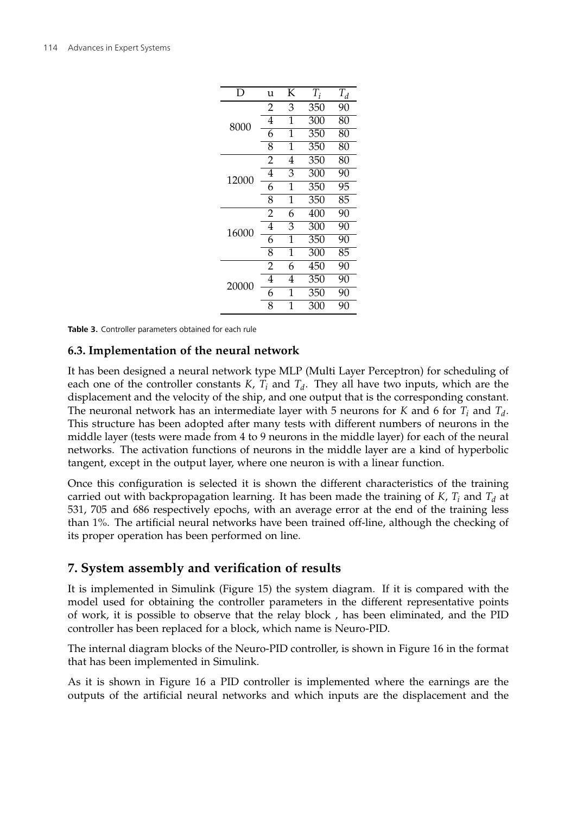| D     | u              | K | $T_i$            | $\mathcal{T}_d$ |
|-------|----------------|---|------------------|-----------------|
| 8000  | $\overline{2}$ | 3 | 350              | 90              |
|       | 4              | 1 | 300              | 80              |
|       | 6              | 1 | 350              | 80              |
|       | $\overline{8}$ | 1 | $\overline{350}$ | 80              |
| 12000 | $\overline{2}$ | 4 | 350              | 80              |
|       | 4              | 3 | 300              | 90              |
|       | 6              | 1 | 350              | 95              |
|       | $\overline{8}$ | 1 | 350              | 85              |
| 16000 | $\overline{2}$ | 6 | 400              | 90              |
|       | 4              | 3 | 300              | 90              |
|       | 6              | 1 | 350              | 90              |
|       | $\overline{8}$ | 1 | 300              | 85              |
| 20000 | $\overline{2}$ | 6 | 450              | 90              |
|       | 4              | 4 | 350              | 90              |
|       | 6              | 1 | 350              | 90              |
|       | $\overline{8}$ | 1 | 300              | 90              |

**Table 3.** Controller parameters obtained for each rule

#### **6.3. Implementation of the neural network**

It has been designed a neural network type MLP (Multi Layer Perceptron) for scheduling of each one of the controller constants *K*, *T<sup>i</sup>* and *T<sup>d</sup>* . They all have two inputs, which are the displacement and the velocity of the ship, and one output that is the corresponding constant. The neuronal network has an intermediate layer with 5 neurons for *K* and 6 for *T<sup>i</sup>* and *T<sup>d</sup>* . This structure has been adopted after many tests with different numbers of neurons in the middle layer (tests were made from 4 to 9 neurons in the middle layer) for each of the neural networks. The activation functions of neurons in the middle layer are a kind of hyperbolic tangent, except in the output layer, where one neuron is with a linear function.

Once this configuration is selected it is shown the different characteristics of the training carried out with backpropagation learning. It has been made the training of  $K$ ,  $T_i$  and  $T_d$  at 531, 705 and 686 respectively epochs, with an average error at the end of the training less than 1%. The artificial neural networks have been trained off-line, although the checking of its proper operation has been performed on line.

### **7. System assembly and verification of results**

It is implemented in Simulink (Figure 15) the system diagram. If it is compared with the model used for obtaining the controller parameters in the different representative points of work, it is possible to observe that the relay block , has been eliminated, and the PID controller has been replaced for a block, which name is Neuro-PID.

The internal diagram blocks of the Neuro-PID controller, is shown in Figure 16 in the format that has been implemented in Simulink.

As it is shown in Figure 16 a PID controller is implemented where the earnings are the outputs of the artificial neural networks and which inputs are the displacement and the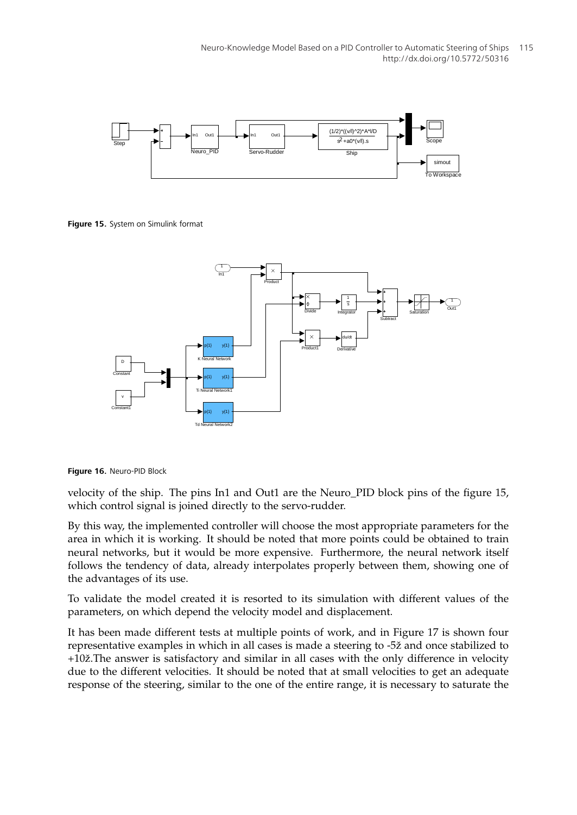

**Figure 15.** System on Simulink format



**Figure 16.** Neuro-PID Block

velocity of the ship. The pins In1 and Out1 are the Neuro\_PID block pins of the figure 15, which control signal is joined directly to the servo-rudder.

By this way, the implemented controller will choose the most appropriate parameters for the area in which it is working. It should be noted that more points could be obtained to train neural networks, but it would be more expensive. Furthermore, the neural network itself follows the tendency of data, already interpolates properly between them, showing one of the advantages of its use.

To validate the model created it is resorted to its simulation with different values of the parameters, on which depend the velocity model and displacement.

It has been made different tests at multiple points of work, and in Figure 17 is shown four representative examples in which in all cases is made a steering to -5ž and once stabilized to +10ž.The answer is satisfactory and similar in all cases with the only difference in velocity due to the different velocities. It should be noted that at small velocities to get an adequate response of the steering, similar to the one of the entire range, it is necessary to saturate the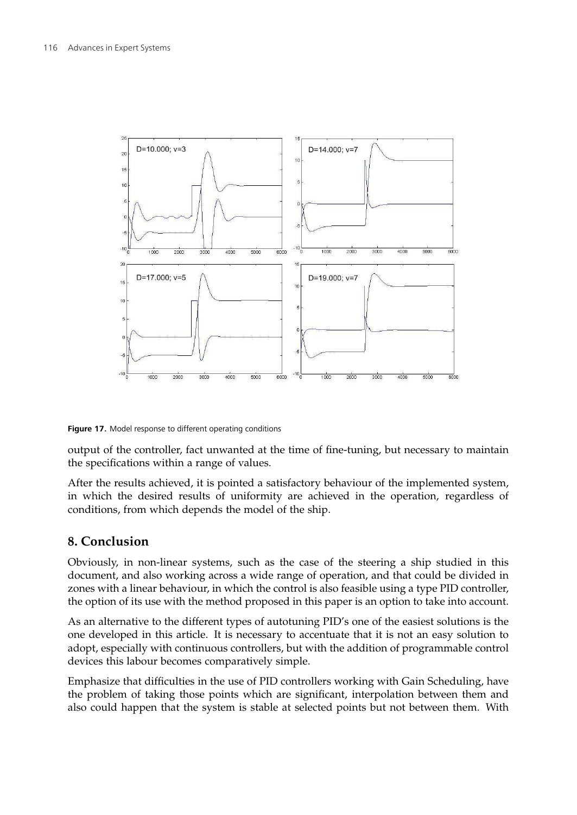

**Figure 17.** Model response to different operating conditions

output of the controller, fact unwanted at the time of fine-tuning, but necessary to maintain the specifications within a range of values.

After the results achieved, it is pointed a satisfactory behaviour of the implemented system, in which the desired results of uniformity are achieved in the operation, regardless of conditions, from which depends the model of the ship.

#### **8. Conclusion**

Obviously, in non-linear systems, such as the case of the steering a ship studied in this document, and also working across a wide range of operation, and that could be divided in zones with a linear behaviour, in which the control is also feasible using a type PID controller, the option of its use with the method proposed in this paper is an option to take into account.

As an alternative to the different types of autotuning PID's one of the easiest solutions is the one developed in this article. It is necessary to accentuate that it is not an easy solution to adopt, especially with continuous controllers, but with the addition of programmable control devices this labour becomes comparatively simple.

Emphasize that difficulties in the use of PID controllers working with Gain Scheduling, have the problem of taking those points which are significant, interpolation between them and also could happen that the system is stable at selected points but not between them. With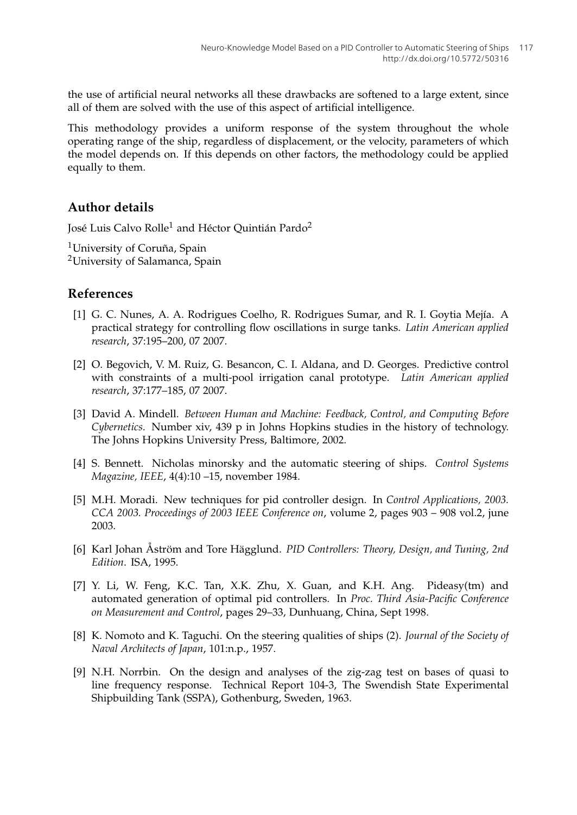the use of artificial neural networks all these drawbacks are softened to a large extent, since all of them are solved with the use of this aspect of artificial intelligence.

This methodology provides a uniform response of the system throughout the whole operating range of the ship, regardless of displacement, or the velocity, parameters of which the model depends on. If this depends on other factors, the methodology could be applied equally to them.

# **Author details**

José Luis Calvo Rolle<sup>1</sup> and Héctor Quintián Pardo<sup>2</sup>

<sup>1</sup>University of Coruña, Spain <sup>2</sup>University of Salamanca, Spain

## **References**

- [1] G. C. Nunes, A. A. Rodrigues Coelho, R. Rodrigues Sumar, and R. I. Goytia Mejía. A practical strategy for controlling flow oscillations in surge tanks. *Latin American applied research*, 37:195–200, 07 2007.
- [2] O. Begovich, V. M. Ruiz, G. Besancon, C. I. Aldana, and D. Georges. Predictive control with constraints of a multi-pool irrigation canal prototype. *Latin American applied research*, 37:177–185, 07 2007.
- [3] David A. Mindell. *Between Human and Machine: Feedback, Control, and Computing Before Cybernetics*. Number xiv, 439 p in Johns Hopkins studies in the history of technology. The Johns Hopkins University Press, Baltimore, 2002.
- [4] S. Bennett. Nicholas minorsky and the automatic steering of ships. *Control Systems Magazine, IEEE*, 4(4):10 –15, november 1984.
- [5] M.H. Moradi. New techniques for pid controller design. In *Control Applications, 2003. CCA 2003. Proceedings of 2003 IEEE Conference on*, volume 2, pages 903 – 908 vol.2, june 2003.
- [6] Karl Johan Åström and Tore Hägglund. *PID Controllers: Theory, Design, and Tuning, 2nd Edition*. ISA, 1995.
- [7] Y. Li, W. Feng, K.C. Tan, X.K. Zhu, X. Guan, and K.H. Ang. Pideasy(tm) and automated generation of optimal pid controllers. In *Proc. Third Asia-Pacific Conference on Measurement and Control*, pages 29–33, Dunhuang, China, Sept 1998.
- [8] K. Nomoto and K. Taguchi. On the steering qualities of ships (2). *Journal of the Society of Naval Architects of Japan*, 101:n.p., 1957.
- [9] N.H. Norrbin. On the design and analyses of the zig-zag test on bases of quasi to line frequency response. Technical Report 104-3, The Swendish State Experimental Shipbuilding Tank (SSPA), Gothenburg, Sweden, 1963.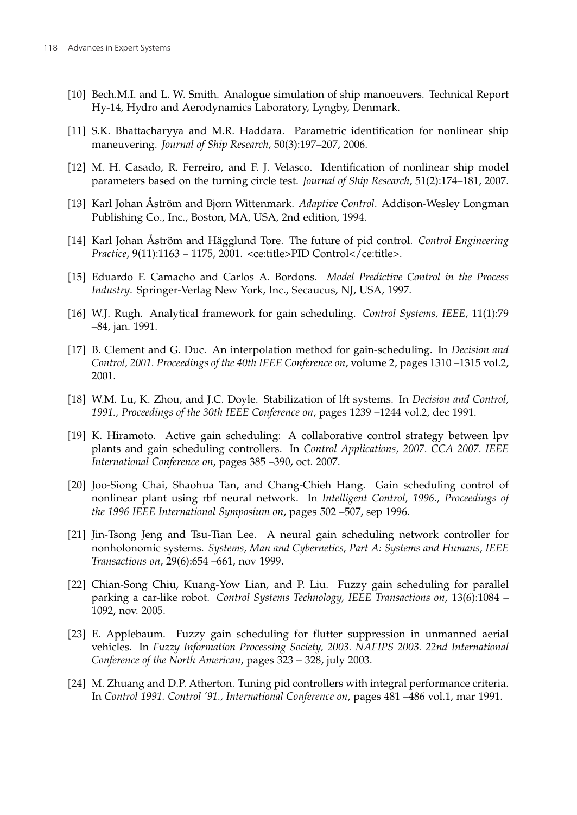- [10] Bech.M.I. and L. W. Smith. Analogue simulation of ship manoeuvers. Technical Report Hy-14, Hydro and Aerodynamics Laboratory, Lyngby, Denmark.
- [11] S.K. Bhattacharyya and M.R. Haddara. Parametric identification for nonlinear ship maneuvering. *Journal of Ship Research*, 50(3):197–207, 2006.
- [12] M. H. Casado, R. Ferreiro, and F. J. Velasco. Identification of nonlinear ship model parameters based on the turning circle test. *Journal of Ship Research*, 51(2):174–181, 2007.
- [13] Karl Johan Åström and Bjorn Wittenmark. *Adaptive Control*. Addison-Wesley Longman Publishing Co., Inc., Boston, MA, USA, 2nd edition, 1994.
- [14] Karl Johan Åström and Hägglund Tore. The future of pid control. *Control Engineering Practice*, 9(11):1163 - 1175, 2001. <ce:title>PID Control</ce:title>.
- [15] Eduardo F. Camacho and Carlos A. Bordons. *Model Predictive Control in the Process Industry*. Springer-Verlag New York, Inc., Secaucus, NJ, USA, 1997.
- [16] W.J. Rugh. Analytical framework for gain scheduling. *Control Systems, IEEE*, 11(1):79 –84, jan. 1991.
- [17] B. Clement and G. Duc. An interpolation method for gain-scheduling. In *Decision and Control, 2001. Proceedings of the 40th IEEE Conference on*, volume 2, pages 1310 –1315 vol.2, 2001.
- [18] W.M. Lu, K. Zhou, and J.C. Doyle. Stabilization of lft systems. In *Decision and Control, 1991., Proceedings of the 30th IEEE Conference on*, pages 1239 –1244 vol.2, dec 1991.
- [19] K. Hiramoto. Active gain scheduling: A collaborative control strategy between lpv plants and gain scheduling controllers. In *Control Applications, 2007. CCA 2007. IEEE International Conference on*, pages 385 –390, oct. 2007.
- [20] Joo-Siong Chai, Shaohua Tan, and Chang-Chieh Hang. Gain scheduling control of nonlinear plant using rbf neural network. In *Intelligent Control, 1996., Proceedings of the 1996 IEEE International Symposium on*, pages 502 –507, sep 1996.
- [21] Jin-Tsong Jeng and Tsu-Tian Lee. A neural gain scheduling network controller for nonholonomic systems. *Systems, Man and Cybernetics, Part A: Systems and Humans, IEEE Transactions on*, 29(6):654 –661, nov 1999.
- [22] Chian-Song Chiu, Kuang-Yow Lian, and P. Liu. Fuzzy gain scheduling for parallel parking a car-like robot. *Control Systems Technology, IEEE Transactions on*, 13(6):1084 – 1092, nov. 2005.
- [23] E. Applebaum. Fuzzy gain scheduling for flutter suppression in unmanned aerial vehicles. In *Fuzzy Information Processing Society, 2003. NAFIPS 2003. 22nd International Conference of the North American*, pages 323 – 328, july 2003.
- [24] M. Zhuang and D.P. Atherton. Tuning pid controllers with integral performance criteria. In *Control 1991. Control '91., International Conference on*, pages 481 –486 vol.1, mar 1991.